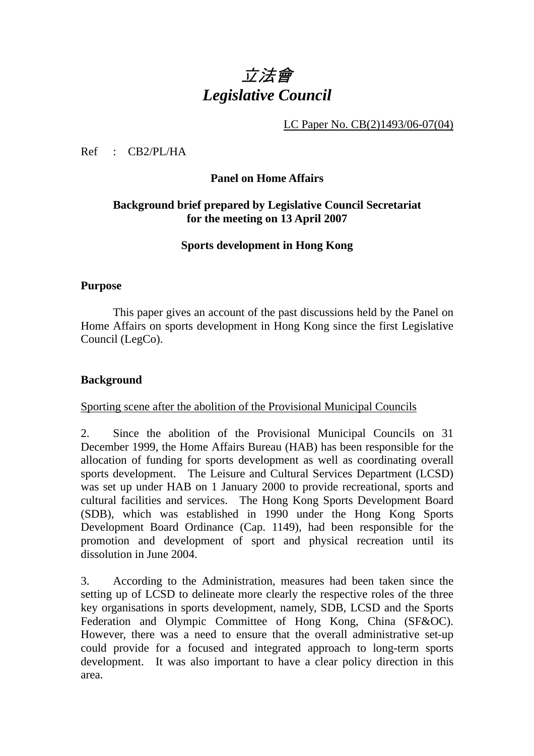# 立法會 *Legislative Council*

LC Paper No. CB(2)1493/06-07(04)

Ref : CB2/PL/HA

#### **Panel on Home Affairs**

# **Background brief prepared by Legislative Council Secretariat for the meeting on 13 April 2007**

#### **Sports development in Hong Kong**

#### **Purpose**

This paper gives an account of the past discussions held by the Panel on Home Affairs on sports development in Hong Kong since the first Legislative Council (LegCo).

### **Background**

#### Sporting scene after the abolition of the Provisional Municipal Councils

2. Since the abolition of the Provisional Municipal Councils on 31 December 1999, the Home Affairs Bureau (HAB) has been responsible for the allocation of funding for sports development as well as coordinating overall sports development. The Leisure and Cultural Services Department (LCSD) was set up under HAB on 1 January 2000 to provide recreational, sports and cultural facilities and services. The Hong Kong Sports Development Board (SDB), which was established in 1990 under the Hong Kong Sports Development Board Ordinance (Cap. 1149), had been responsible for the promotion and development of sport and physical recreation until its dissolution in June 2004.

3. According to the Administration, measures had been taken since the setting up of LCSD to delineate more clearly the respective roles of the three key organisations in sports development, namely, SDB, LCSD and the Sports Federation and Olympic Committee of Hong Kong, China (SF&OC). However, there was a need to ensure that the overall administrative set-up could provide for a focused and integrated approach to long-term sports development. It was also important to have a clear policy direction in this area.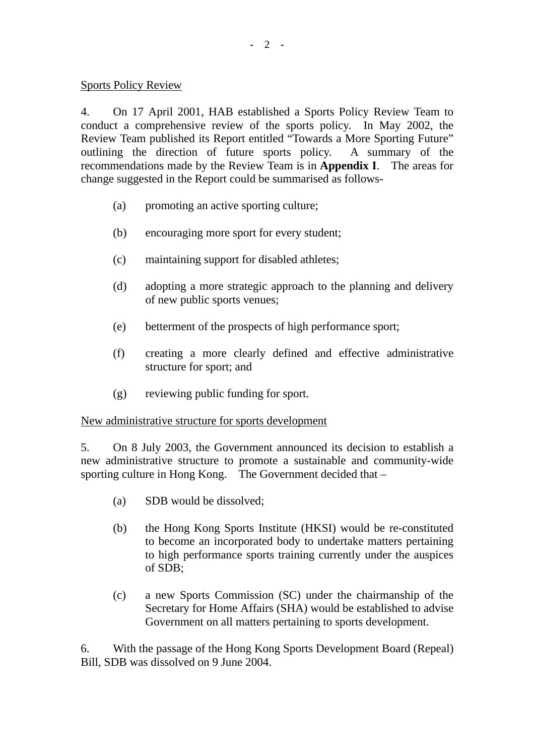#### Sports Policy Review

4. On 17 April 2001, HAB established a Sports Policy Review Team to conduct a comprehensive review of the sports policy. In May 2002, the Review Team published its Report entitled "Towards a More Sporting Future" outlining the direction of future sports policy. A summary of the recommendations made by the Review Team is in **Appendix I**. The areas for change suggested in the Report could be summarised as follows-

- (a) promoting an active sporting culture;
- (b) encouraging more sport for every student;
- (c) maintaining support for disabled athletes;
- (d) adopting a more strategic approach to the planning and delivery of new public sports venues;
- (e) betterment of the prospects of high performance sport;
- (f) creating a more clearly defined and effective administrative structure for sport; and
- (g) reviewing public funding for sport.

### New administrative structure for sports development

5. On 8 July 2003, the Government announced its decision to establish a new administrative structure to promote a sustainable and community-wide sporting culture in Hong Kong. The Government decided that –

- (a) SDB would be dissolved;
- (b) the Hong Kong Sports Institute (HKSI) would be re-constituted to become an incorporated body to undertake matters pertaining to high performance sports training currently under the auspices of SDB;
- (c) a new Sports Commission (SC) under the chairmanship of the Secretary for Home Affairs (SHA) would be established to advise Government on all matters pertaining to sports development.

6. With the passage of the Hong Kong Sports Development Board (Repeal) Bill, SDB was dissolved on 9 June 2004.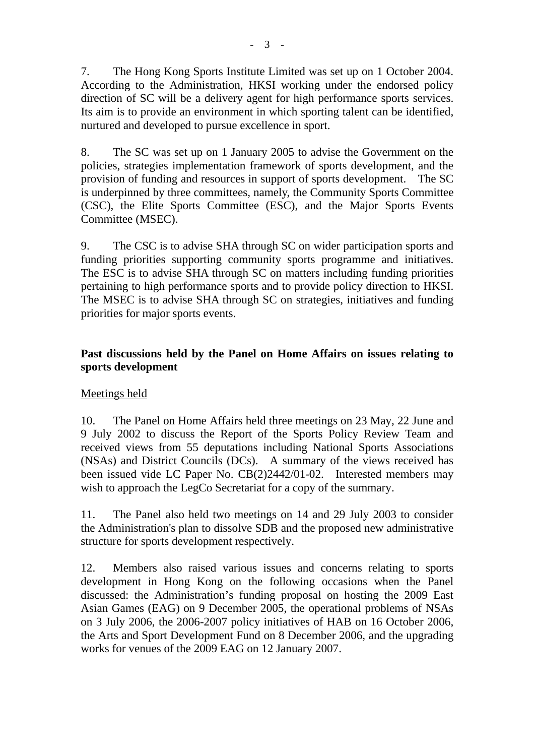7. The Hong Kong Sports Institute Limited was set up on 1 October 2004. According to the Administration, HKSI working under the endorsed policy direction of SC will be a delivery agent for high performance sports services. Its aim is to provide an environment in which sporting talent can be identified, nurtured and developed to pursue excellence in sport.

8. The SC was set up on 1 January 2005 to advise the Government on the policies, strategies implementation framework of sports development, and the provision of funding and resources in support of sports development. The SC is underpinned by three committees, namely, the Community Sports Committee (CSC), the Elite Sports Committee (ESC), and the Major Sports Events Committee (MSEC).

9. The CSC is to advise SHA through SC on wider participation sports and funding priorities supporting community sports programme and initiatives. The ESC is to advise SHA through SC on matters including funding priorities pertaining to high performance sports and to provide policy direction to HKSI. The MSEC is to advise SHA through SC on strategies, initiatives and funding priorities for major sports events.

# **Past discussions held by the Panel on Home Affairs on issues relating to sports development**

### Meetings held

10. The Panel on Home Affairs held three meetings on 23 May, 22 June and 9 July 2002 to discuss the Report of the Sports Policy Review Team and received views from 55 deputations including National Sports Associations (NSAs) and District Councils (DCs). A summary of the views received has been issued vide LC Paper No. CB(2)2442/01-02. Interested members may wish to approach the LegCo Secretariat for a copy of the summary.

11. The Panel also held two meetings on 14 and 29 July 2003 to consider the Administration's plan to dissolve SDB and the proposed new administrative structure for sports development respectively.

12. Members also raised various issues and concerns relating to sports development in Hong Kong on the following occasions when the Panel discussed: the Administration's funding proposal on hosting the 2009 East Asian Games (EAG) on 9 December 2005, the operational problems of NSAs on 3 July 2006, the 2006-2007 policy initiatives of HAB on 16 October 2006, the Arts and Sport Development Fund on 8 December 2006, and the upgrading works for venues of the 2009 EAG on 12 January 2007.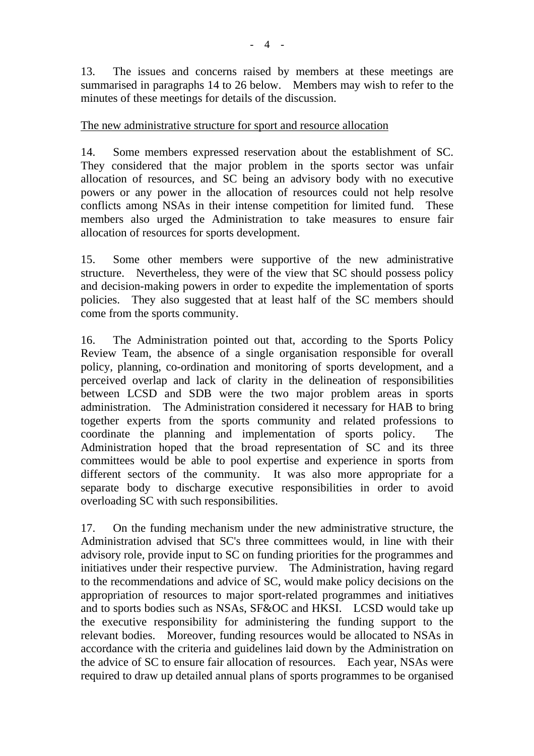13. The issues and concerns raised by members at these meetings are summarised in paragraphs 14 to 26 below. Members may wish to refer to the minutes of these meetings for details of the discussion.

#### The new administrative structure for sport and resource allocation

14. Some members expressed reservation about the establishment of SC. They considered that the major problem in the sports sector was unfair allocation of resources, and SC being an advisory body with no executive powers or any power in the allocation of resources could not help resolve conflicts among NSAs in their intense competition for limited fund. These members also urged the Administration to take measures to ensure fair allocation of resources for sports development.

15. Some other members were supportive of the new administrative structure. Nevertheless, they were of the view that SC should possess policy and decision-making powers in order to expedite the implementation of sports policies. They also suggested that at least half of the SC members should come from the sports community.

16. The Administration pointed out that, according to the Sports Policy Review Team, the absence of a single organisation responsible for overall policy, planning, co-ordination and monitoring of sports development, and a perceived overlap and lack of clarity in the delineation of responsibilities between LCSD and SDB were the two major problem areas in sports administration. The Administration considered it necessary for HAB to bring together experts from the sports community and related professions to coordinate the planning and implementation of sports policy. The Administration hoped that the broad representation of SC and its three committees would be able to pool expertise and experience in sports from different sectors of the community. It was also more appropriate for a separate body to discharge executive responsibilities in order to avoid overloading SC with such responsibilities.

17. On the funding mechanism under the new administrative structure, the Administration advised that SC's three committees would, in line with their advisory role, provide input to SC on funding priorities for the programmes and initiatives under their respective purview. The Administration, having regard to the recommendations and advice of SC, would make policy decisions on the appropriation of resources to major sport-related programmes and initiatives and to sports bodies such as NSAs, SF&OC and HKSI. LCSD would take up the executive responsibility for administering the funding support to the relevant bodies. Moreover, funding resources would be allocated to NSAs in accordance with the criteria and guidelines laid down by the Administration on the advice of SC to ensure fair allocation of resources. Each year, NSAs were required to draw up detailed annual plans of sports programmes to be organised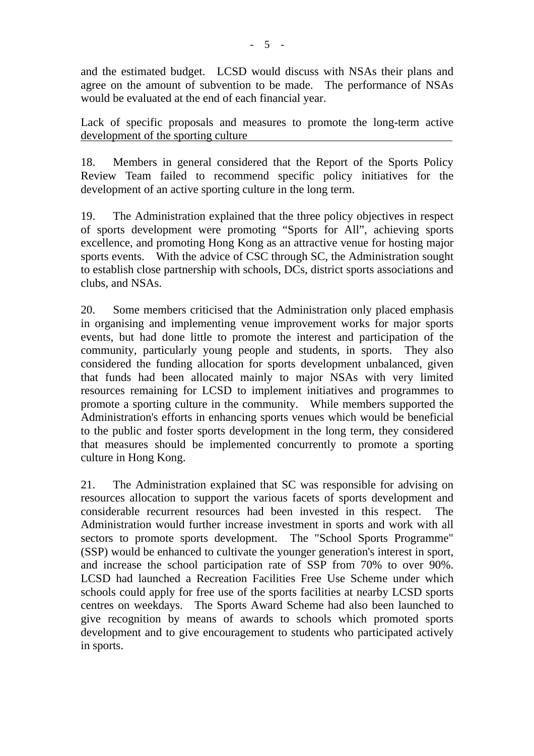and the estimated budget. LCSD would discuss with NSAs their plans and agree on the amount of subvention to be made. The performance of NSAs would be evaluated at the end of each financial year.

Lack of specific proposals and measures to promote the long-term active development of the sporting culture

18. Members in general considered that the Report of the Sports Policy Review Team failed to recommend specific policy initiatives for the development of an active sporting culture in the long term.

19. The Administration explained that the three policy objectives in respect of sports development were promoting "Sports for All", achieving sports excellence, and promoting Hong Kong as an attractive venue for hosting major sports events. With the advice of CSC through SC, the Administration sought to establish close partnership with schools, DCs, district sports associations and clubs, and NSAs.

20. Some members criticised that the Administration only placed emphasis in organising and implementing venue improvement works for major sports events, but had done little to promote the interest and participation of the community, particularly young people and students, in sports. They also considered the funding allocation for sports development unbalanced, given that funds had been allocated mainly to major NSAs with very limited resources remaining for LCSD to implement initiatives and programmes to promote a sporting culture in the community. While members supported the Administration's efforts in enhancing sports venues which would be beneficial to the public and foster sports development in the long term, they considered that measures should be implemented concurrently to promote a sporting culture in Hong Kong.

21. The Administration explained that SC was responsible for advising on resources allocation to support the various facets of sports development and considerable recurrent resources had been invested in this respect. The Administration would further increase investment in sports and work with all sectors to promote sports development. The "School Sports Programme" (SSP) would be enhanced to cultivate the younger generation's interest in sport, and increase the school participation rate of SSP from 70% to over 90%. LCSD had launched a Recreation Facilities Free Use Scheme under which schools could apply for free use of the sports facilities at nearby LCSD sports centres on weekdays. The Sports Award Scheme had also been launched to give recognition by means of awards to schools which promoted sports development and to give encouragement to students who participated actively in sports.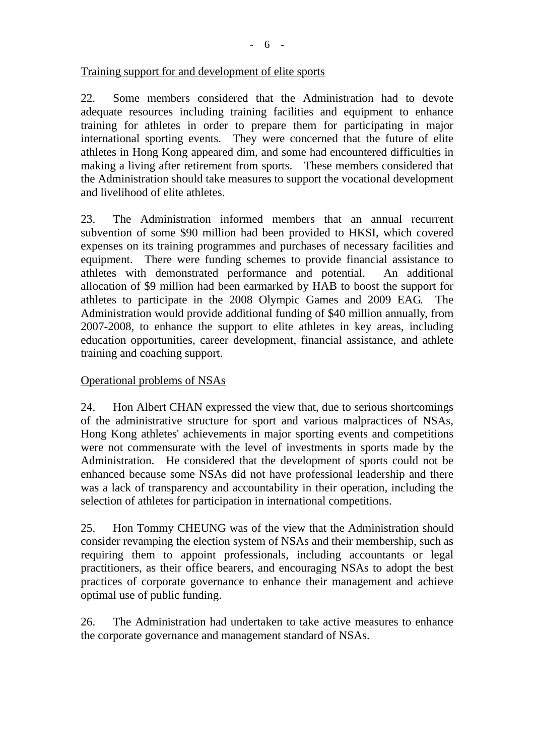22. Some members considered that the Administration had to devote adequate resources including training facilities and equipment to enhance training for athletes in order to prepare them for participating in major international sporting events. They were concerned that the future of elite athletes in Hong Kong appeared dim, and some had encountered difficulties in making a living after retirement from sports. These members considered that the Administration should take measures to support the vocational development and livelihood of elite athletes.

23. The Administration informed members that an annual recurrent subvention of some \$90 million had been provided to HKSI, which covered expenses on its training programmes and purchases of necessary facilities and equipment. There were funding schemes to provide financial assistance to athletes with demonstrated performance and potential. An additional allocation of \$9 million had been earmarked by HAB to boost the support for athletes to participate in the 2008 Olympic Games and 2009 EAG. Administration would provide additional funding of \$40 million annually, from 2007-2008, to enhance the support to elite athletes in key areas, including education opportunities, career development, financial assistance, and athlete training and coaching support.

# Operational problems of NSAs

24. Hon Albert CHAN expressed the view that, due to serious shortcomings of the administrative structure for sport and various malpractices of NSAs, Hong Kong athletes' achievements in major sporting events and competitions were not commensurate with the level of investments in sports made by the Administration. He considered that the development of sports could not be enhanced because some NSAs did not have professional leadership and there was a lack of transparency and accountability in their operation, including the selection of athletes for participation in international competitions.

25. Hon Tommy CHEUNG was of the view that the Administration should consider revamping the election system of NSAs and their membership, such as requiring them to appoint professionals, including accountants or legal practitioners, as their office bearers, and encouraging NSAs to adopt the best practices of corporate governance to enhance their management and achieve optimal use of public funding.

26. The Administration had undertaken to take active measures to enhance the corporate governance and management standard of NSAs.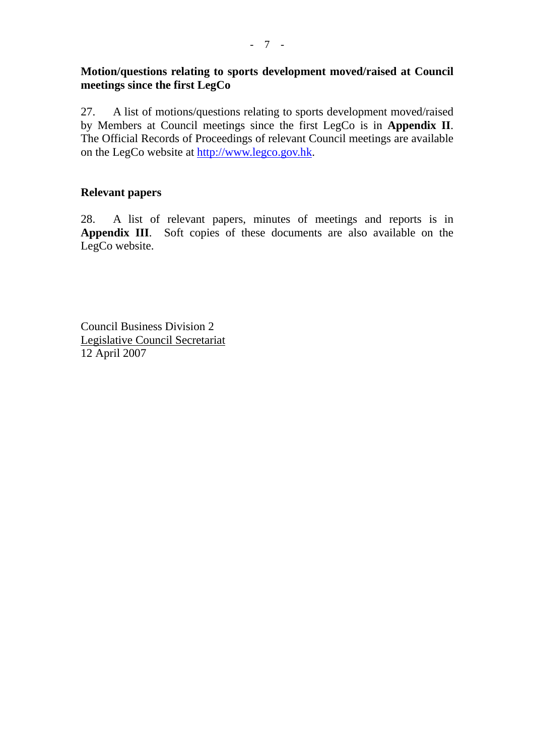# **Motion/questions relating to sports development moved/raised at Council meetings since the first LegCo**

27. A list of motions/questions relating to sports development moved/raised by Members at Council meetings since the first LegCo is in **Appendix II**. The Official Records of Proceedings of relevant Council meetings are available on the LegCo website at http://www.legco.gov.hk.

# **Relevant papers**

28. A list of relevant papers, minutes of meetings and reports is in Appendix III. Soft copies of these documents are also available on the LegCo website.

Council Business Division 2 Legislative Council Secretariat 12 April 2007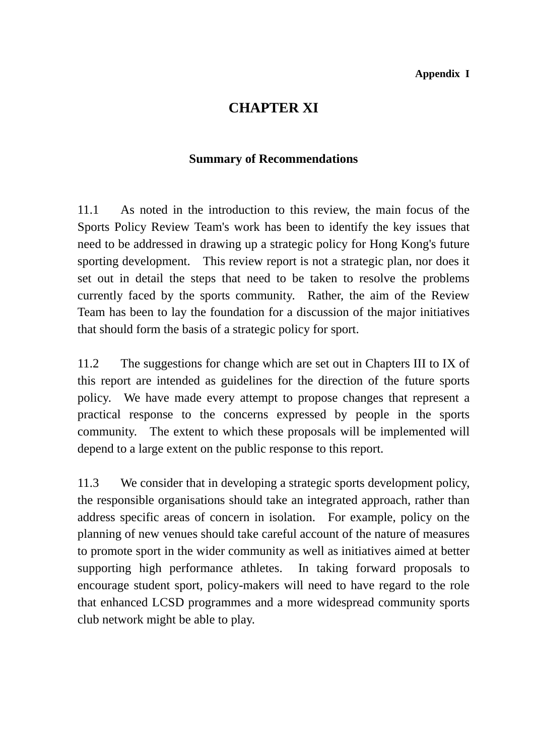# **CHAPTER XI**

# **Summary of Recommendations**

11.1 As noted in the introduction to this review, the main focus of the Sports Policy Review Team's work has been to identify the key issues that need to be addressed in drawing up a strategic policy for Hong Kong's future sporting development. This review report is not a strategic plan, nor does it set out in detail the steps that need to be taken to resolve the problems currently faced by the sports community. Rather, the aim of the Review Team has been to lay the foundation for a discussion of the major initiatives that should form the basis of a strategic policy for sport.

11.2 The suggestions for change which are set out in Chapters III to IX of this report are intended as guidelines for the direction of the future sports policy. We have made every attempt to propose changes that represent a practical response to the concerns expressed by people in the sports community. The extent to which these proposals will be implemented will depend to a large extent on the public response to this report.

11.3 We consider that in developing a strategic sports development policy, the responsible organisations should take an integrated approach, rather than address specific areas of concern in isolation. For example, policy on the planning of new venues should take careful account of the nature of measures to promote sport in the wider community as well as initiatives aimed at better supporting high performance athletes. In taking forward proposals to encourage student sport, policy-makers will need to have regard to the role that enhanced LCSD programmes and a more widespread community sports club network might be able to play.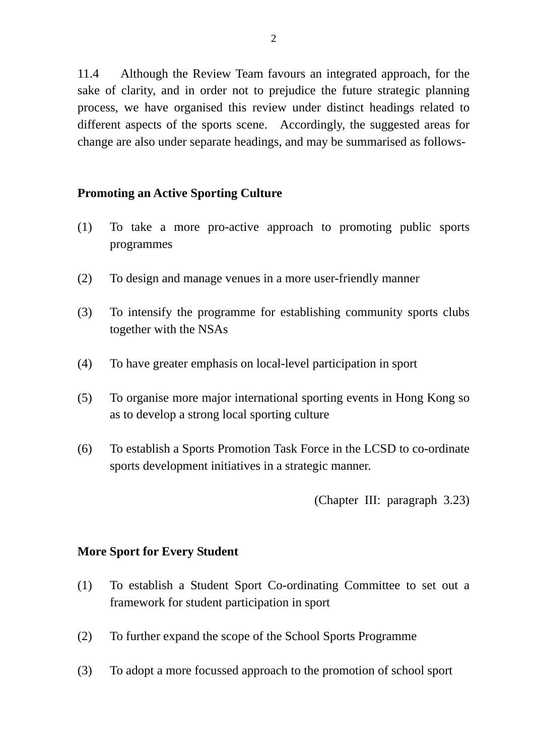11.4 Although the Review Team favours an integrated approach, for the sake of clarity, and in order not to prejudice the future strategic planning process, we have organised this review under distinct headings related to different aspects of the sports scene. Accordingly, the suggested areas for change are also under separate headings, and may be summarised as follows-

# **Promoting an Active Sporting Culture**

- (1) To take a more pro-active approach to promoting public sports programmes
- (2) To design and manage venues in a more user-friendly manner
- (3) To intensify the programme for establishing community sports clubs together with the NSAs
- (4) To have greater emphasis on local-level participation in sport
- (5) To organise more major international sporting events in Hong Kong so as to develop a strong local sporting culture
- (6) To establish a Sports Promotion Task Force in the LCSD to co-ordinate sports development initiatives in a strategic manner.

(Chapter III: paragraph 3.23)

### **More Sport for Every Student**

- (1) To establish a Student Sport Co-ordinating Committee to set out a framework for student participation in sport
- (2) To further expand the scope of the School Sports Programme
- (3) To adopt a more focussed approach to the promotion of school sport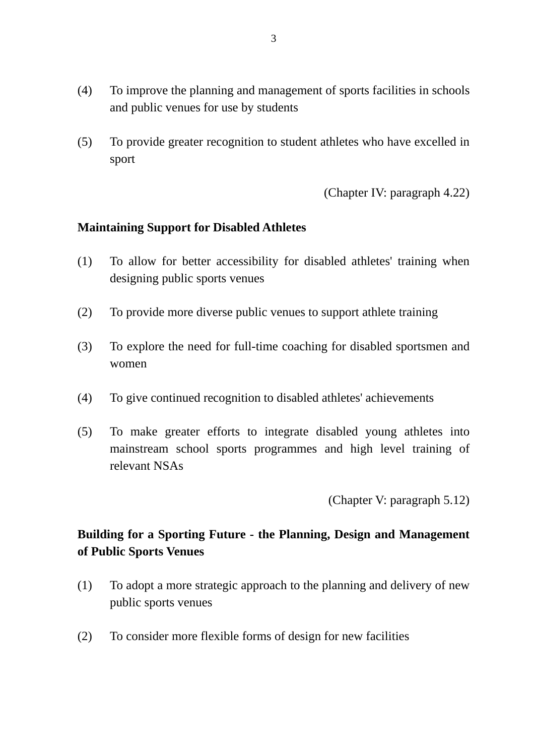- (4) To improve the planning and management of sports facilities in schools and public venues for use by students
- (5) To provide greater recognition to student athletes who have excelled in sport

(Chapter IV: paragraph 4.22)

#### **Maintaining Support for Disabled Athletes**

- (1) To allow for better accessibility for disabled athletes' training when designing public sports venues
- (2) To provide more diverse public venues to support athlete training
- (3) To explore the need for full-time coaching for disabled sportsmen and women
- (4) To give continued recognition to disabled athletes' achievements
- (5) To make greater efforts to integrate disabled young athletes into mainstream school sports programmes and high level training of relevant NSAs

(Chapter V: paragraph 5.12)

# **Building for a Sporting Future - the Planning, Design and Management of Public Sports Venues**

- (1) To adopt a more strategic approach to the planning and delivery of new public sports venues
- (2) To consider more flexible forms of design for new facilities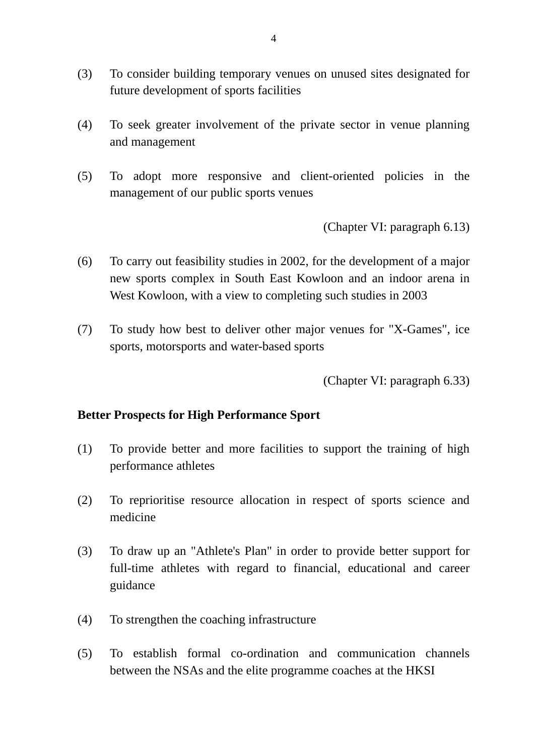- (3) To consider building temporary venues on unused sites designated for future development of sports facilities
- (4) To seek greater involvement of the private sector in venue planning and management
- (5) To adopt more responsive and client-oriented policies in the management of our public sports venues

(Chapter VI: paragraph 6.13)

- (6) To carry out feasibility studies in 2002, for the development of a major new sports complex in South East Kowloon and an indoor arena in West Kowloon, with a view to completing such studies in 2003
- (7) To study how best to deliver other major venues for "X-Games", ice sports, motorsports and water-based sports

(Chapter VI: paragraph 6.33)

### **Better Prospects for High Performance Sport**

- (1) To provide better and more facilities to support the training of high performance athletes
- (2) To reprioritise resource allocation in respect of sports science and medicine
- (3) To draw up an "Athlete's Plan" in order to provide better support for full-time athletes with regard to financial, educational and career guidance
- (4) To strengthen the coaching infrastructure
- (5) To establish formal co-ordination and communication channels between the NSAs and the elite programme coaches at the HKSI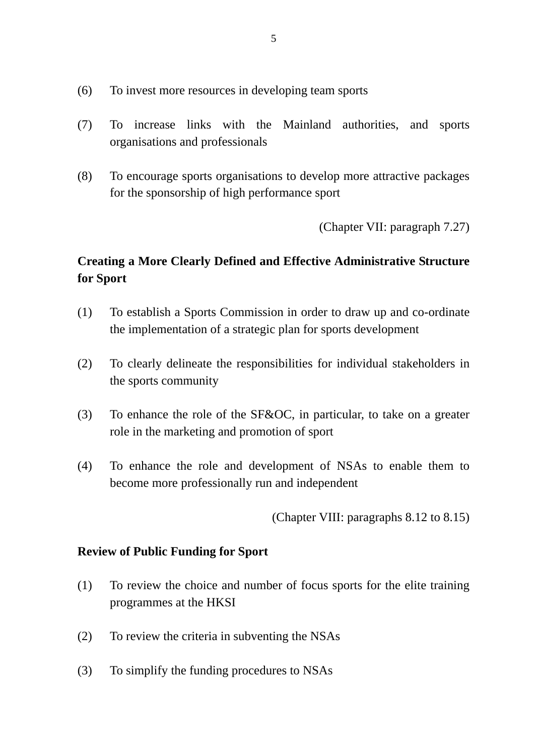- (6) To invest more resources in developing team sports
- (7) To increase links with the Mainland authorities, and sports organisations and professionals
- (8) To encourage sports organisations to develop more attractive packages for the sponsorship of high performance sport

(Chapter VII: paragraph 7.27)

# **Creating a More Clearly Defined and Effective Administrative Structure for Sport**

- (1) To establish a Sports Commission in order to draw up and co-ordinate the implementation of a strategic plan for sports development
- (2) To clearly delineate the responsibilities for individual stakeholders in the sports community
- (3) To enhance the role of the SF&OC, in particular, to take on a greater role in the marketing and promotion of sport
- (4) To enhance the role and development of NSAs to enable them to become more professionally run and independent

(Chapter VIII: paragraphs 8.12 to 8.15)

### **Review of Public Funding for Sport**

- (1) To review the choice and number of focus sports for the elite training programmes at the HKSI
- (2) To review the criteria in subventing the NSAs
- (3) To simplify the funding procedures to NSAs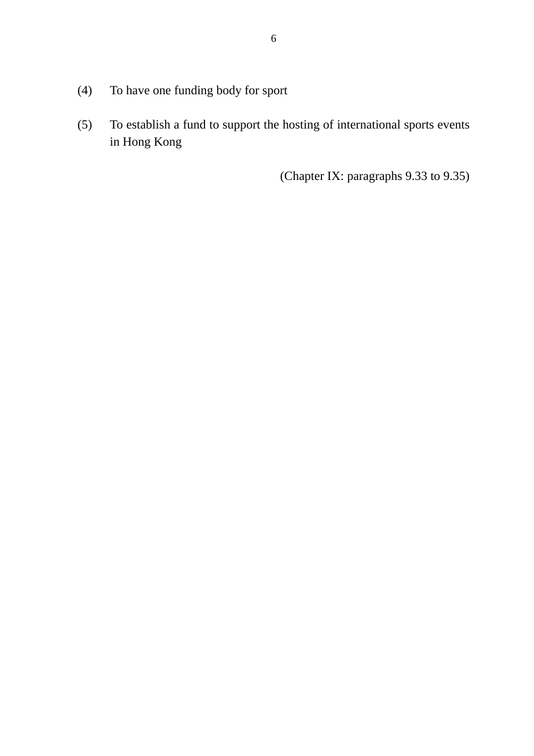- (4) To have one funding body for sport
- (5) To establish a fund to support the hosting of international sports events in Hong Kong

(Chapter IX: paragraphs 9.33 to 9.35)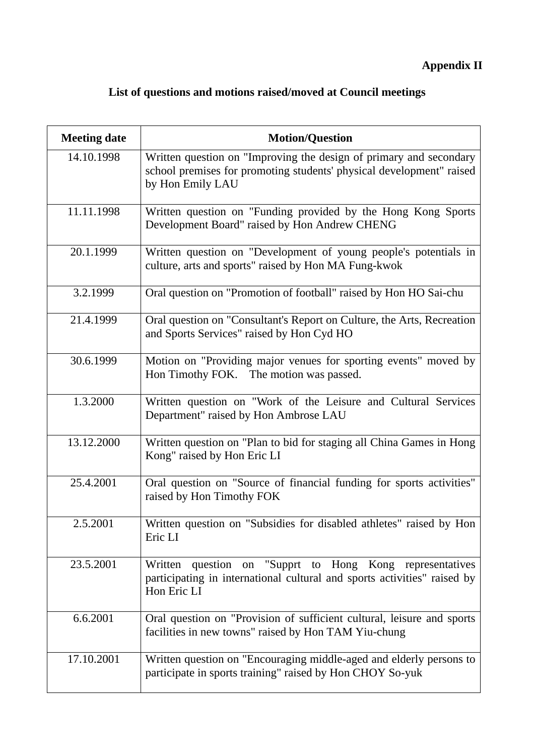# **Appendix II**

# **List of questions and motions raised/moved at Council meetings**

| <b>Meeting date</b> | <b>Motion/Question</b>                                                                                                                                         |  |  |
|---------------------|----------------------------------------------------------------------------------------------------------------------------------------------------------------|--|--|
| 14.10.1998          | Written question on "Improving the design of primary and secondary<br>school premises for promoting students' physical development" raised<br>by Hon Emily LAU |  |  |
| 11.11.1998          | Written question on "Funding provided by the Hong Kong Sports<br>Development Board" raised by Hon Andrew CHENG                                                 |  |  |
| 20.1.1999           | Written question on "Development of young people's potentials in<br>culture, arts and sports" raised by Hon MA Fung-kwok                                       |  |  |
| 3.2.1999            | Oral question on "Promotion of football" raised by Hon HO Sai-chu                                                                                              |  |  |
| 21.4.1999           | Oral question on "Consultant's Report on Culture, the Arts, Recreation<br>and Sports Services" raised by Hon Cyd HO                                            |  |  |
| 30.6.1999           | Motion on "Providing major venues for sporting events" moved by<br>Hon Timothy FOK. The motion was passed.                                                     |  |  |
| 1.3.2000            | Written question on "Work of the Leisure and Cultural Services<br>Department" raised by Hon Ambrose LAU                                                        |  |  |
| 13.12.2000          | Written question on "Plan to bid for staging all China Games in Hong<br>Kong" raised by Hon Eric LI                                                            |  |  |
| 25.4.2001           | Oral question on "Source of financial funding for sports activities"<br>raised by Hon Timothy FOK                                                              |  |  |
| 2.5.2001            | Written question on "Subsidies for disabled athletes" raised by Hon<br>Eric LI                                                                                 |  |  |
| 23.5.2001           | Written question<br>"Supprt to Hong Kong representatives<br>on<br>participating in international cultural and sports activities" raised by<br>Hon Eric LI      |  |  |
| 6.6.2001            | Oral question on "Provision of sufficient cultural, leisure and sports<br>facilities in new towns" raised by Hon TAM Yiu-chung                                 |  |  |
| 17.10.2001          | Written question on "Encouraging middle-aged and elderly persons to<br>participate in sports training" raised by Hon CHOY So-yuk                               |  |  |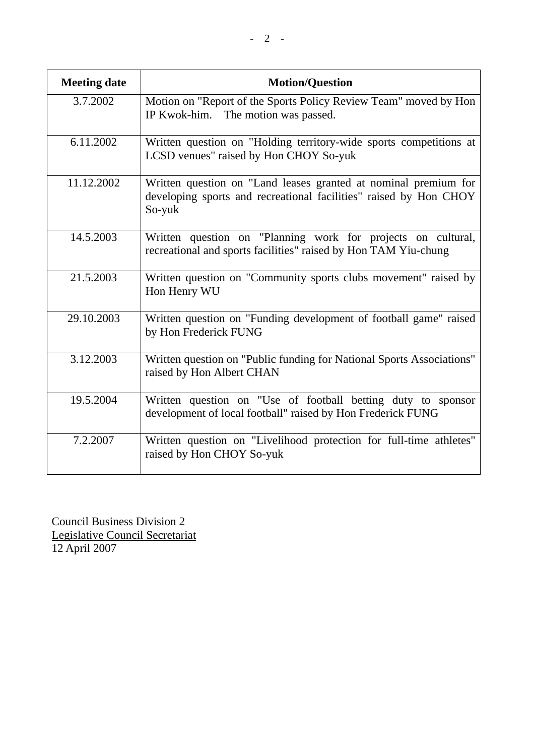| <b>Meeting date</b> | <b>Motion/Question</b>                                                                                                                         |  |
|---------------------|------------------------------------------------------------------------------------------------------------------------------------------------|--|
| 3.7.2002            | Motion on "Report of the Sports Policy Review Team" moved by Hon<br>The motion was passed.<br>IP Kwok-him.                                     |  |
| 6.11.2002           | Written question on "Holding territory-wide sports competitions at<br>LCSD venues" raised by Hon CHOY So-yuk                                   |  |
| 11.12.2002          | Written question on "Land leases granted at nominal premium for<br>developing sports and recreational facilities" raised by Hon CHOY<br>So-yuk |  |
| 14.5.2003           | Written question on "Planning work for projects on cultural,<br>recreational and sports facilities" raised by Hon TAM Yiu-chung                |  |
| 21.5.2003           | Written question on "Community sports clubs movement" raised by<br>Hon Henry WU                                                                |  |
| 29.10.2003          | Written question on "Funding development of football game" raised<br>by Hon Frederick FUNG                                                     |  |
| 3.12.2003           | Written question on "Public funding for National Sports Associations"<br>raised by Hon Albert CHAN                                             |  |
| 19.5.2004           | Written question on "Use of football betting duty to sponsor<br>development of local football" raised by Hon Frederick FUNG                    |  |
| 7.2.2007            | Written question on "Livelihood protection for full-time athletes"<br>raised by Hon CHOY So-yuk                                                |  |

Council Business Division 2 Legislative Council Secretariat 12 April 2007